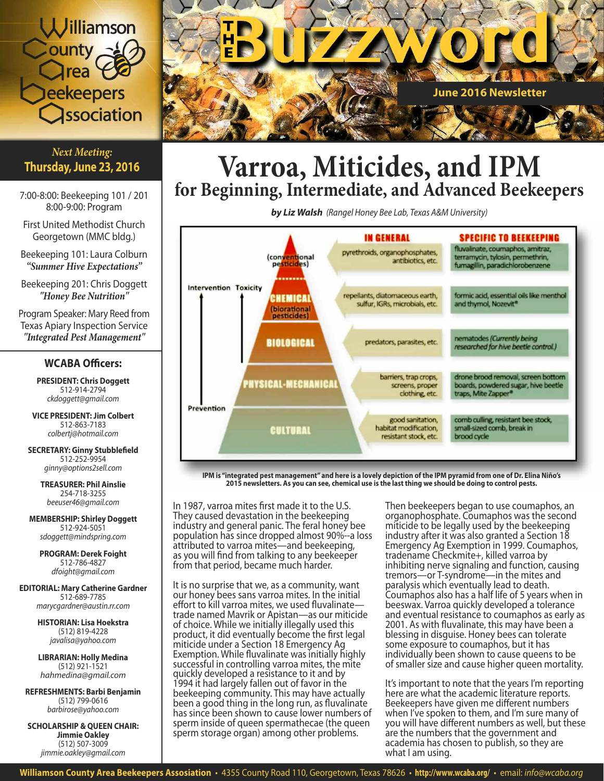

#### *Next Meeting:* **Thursday, June 23, 2016**

7:00-8:00: Beekeeping 101 / 201 8:00-9:00: Program

First United Methodist Church Georgetown (MMC bldg.)

Beekeeping 101: Laura Colburn *"Summer Hive Expectations"*

Beekeeping 201: Chris Doggett *"Honey Bee Nutrition"*

Program Speaker: Mary Reed from Texas Apiary Inspection Service *"Integrated Pest Management"*

#### **WCABA Officers:**

**PRESIDENT: Chris Doggett** 512-914-2794 *ckdoggett@gmail.com*

**VICE PRESIDENT: Jim Colbert** 512-863-7183 *colbertj@hotmail.com*

**SECRETARY: Ginny Stubblefield** 512-252-9954 *ginny@options2sell.com*

> **TREASURER: Phil Ainslie** 254-718-3255 *beeuser46@gmail.com*

**MEMBERSHIP: Shirley Doggett** 512-924-5051 *sdoggett@mindspring.com*

**PROGRAM: Derek Foight** 512-786-4827 *dfoight@gmail.com*

**EDITORIAL: Mary Catherine Gardner** 512-689-7785 *marycgardner@austin.rr.com*

> **HISTORIAN: Lisa Hoekstra** (512) 819-4228 *javalisa@yahoo.com*

**LIBRARIAN: Holly Medina** (512) 921-1521 *hahmedina@gmail.com*

**REFRESHMENTS: Barbi Benjamin** (512) 799-0616 *barbirose@yahoo.com*

**SCHOLARSHIP & QUEEN CHAIR: Jimmie Oakley** (512) 507-3009 *jimmie.oakley@gmail.com*



# **Varroa, Miticides, and IPM for Beginning, Intermediate, and Advanced Beekeepers**

*by Liz Walsh (Rangel Honey Bee Lab, Texas A&M University)*



IPM is "integrated pest management" and here is a lovely depiction of the IPM pyramid from one of Dr. Elina Niño's 2015 newsletters. As you can see, chemical use is the last thing we should be doing to control pests.

In 1987, varroa mites first made it to the U.S. They caused devastation in the beekeeping industry and general panic. The feral honey bee population has since dropped almost 90%--a loss attributed to varroa mites—and beekeeping, as you will find from talking to any beekeeper from that period, became much harder.

It is no surprise that we, as a community, want our honey bees sans varroa mites. In the initial effort to kill varroa mites, we used fluvalinate trade named Mavrik or Apistan—as our miticide of choice. While we initially illegally used this product, it did eventually become the first legal miticide under a Section 18 Emergency Ag Exemption. While fluvalinate was initially highly successful in controlling varroa mites, the mite quickly developed a resistance to it and by 1994 it had largely fallen out of favor in the beekeeping community. This may have actually been a good thing in the long run, as fluvalinate has since been shown to cause lower numbers of sperm inside of queen spermathecae (the queen sperm storage organ) among other problems.

Then beekeepers began to use coumaphos, an organophosphate. Coumaphos was the second miticide to be legally used by the beekeeping industry after it was also granted a Section 18 Emergency Ag Exemption in 1999. Coumaphos, tradename Checkmite+, killed varroa by inhibiting nerve signaling and function, causing tremors—or T-syndrome—in the mites and paralysis which eventually lead to death. Coumaphos also has a half life of 5 years when in beeswax. Varroa quickly developed a tolerance and eventual resistance to coumaphos as early as 2001. As with fluvalinate, this may have been a blessing in disguise. Honey bees can tolerate some exposure to coumaphos, but it has individually been shown to cause queens to be of smaller size and cause higher queen mortality.

It's important to note that the years I'm reporting here are what the academic literature reports. Beekeepers have given me different numbers when I've spoken to them, and I'm sure many of you will have different numbers as well, but these are the numbers that the government and academia has chosen to publish, so they are what I am using.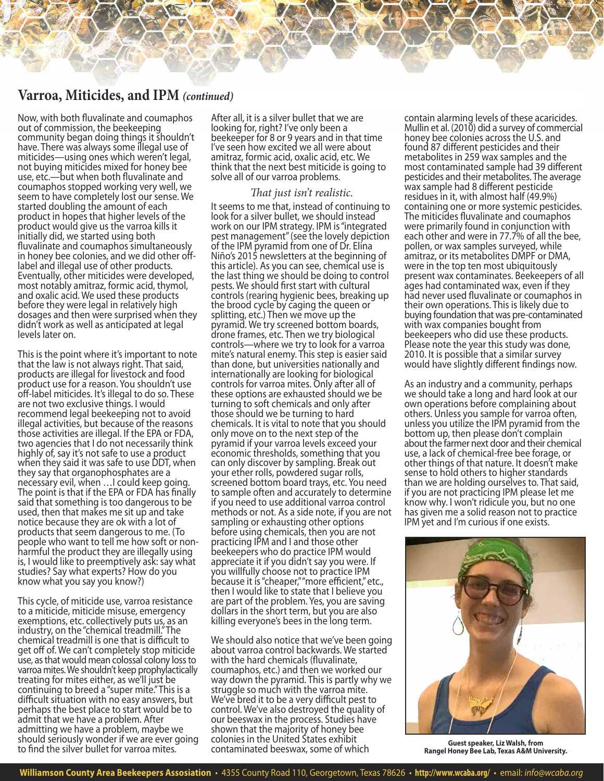### **Varroa, Miticides, and IPM** *(continued)*

Now, with both fluvalinate and coumaphos out of commission, the beekeeping community began doing things it shouldn't have. There was always some illegal use of miticides—using ones which weren't legal, not buying miticides mixed for honey bee use, etc.—but when both fluvalinate and coumaphos stopped working very well, we seem to have completely lost our sense. We started doubling the amount of each product in hopes that higher levels of the product would give us the varroa kills it initially did, we started using both fluvalinate and coumaphos simultaneously in honey bee colonies, and we did other off label and illegal use of other products. Eventually, other miticides were developed, most notably amitraz, formic acid, thymol, and oxalic acid. We used these products before they were legal in relatively high dosages and then were surprised when they didn't work as well as anticipated at legal levels later on.

This is the point where it's important to note that the law is not always right. That said, products are illegal for livestock and food product use for a reason. You shouldn't use off-label miticides. It's illegal to do so. These are not two exclusive things. I would recommend legal beekeeping not to avoid illegal activities, but because of the reasons those activities are illegal. If the EPA or FDA, two agencies that I do not necessarily think highly of, say it's not safe to use a product when they said it was safe to use DDT, when they say that organophosphates are a necessary evil, when …I could keep going. The point is that if the EPA or FDA has finally said that something is too dangerous to be used, then that makes me sit up and take notice because they are ok with a lot of products that seem dangerous to me. (To people who want to tell me how soft or non harmful the product they are illegally using is, I would like to preemptively ask: say what studies? Say what experts? How do you know what you say you know?)

This cycle, of miticide use, varroa resistance to a miticide, miticide misuse, emergency exemptions, etc. collectively puts us, as an industry, on the "chemical treadmill."The chemical treadmill is one that is difficult to get off of. We can't completely stop miticide use, asthat would mean colossal colony lossto varroa mites.We shouldn't keep prophylactically treating for mites either, as we'll just be continuing to breed a "super mite."This is a difficult situation with no easy answers, but perhaps the best place to start would be to admit that we have a problem. After admitting we have a problem, maybe we should seriously wonder if we are ever going to find the silver bullet for varroa mites.

After all, it is a silver bullet that we are looking for, right? I've only been a beekeeper for 8 or 9 years and in that time I've seen how excited we all were about amitraz, formic acid, oxalic acid, etc. We think that the next best miticide is going to solve all of our varroa problems.

#### That just isn't realistic.

It seems to me that, instead of continuing to look for a silver bullet, we should instead work on our IPM strategy. IPM is "integrated pest management"(see the lovely depiction of the IPM pyramid from one of Dr. Elina Niño's 2015 newsletters at the beginning of this article). As you can see, chemical use is the last thing we should be doing to control pests. We should first start with cultural controls (rearing hygienic bees, breaking up the brood cycle by caging the queen or splitting, etc.) Then we move up the pyramid. We try screened bottom boards, drone frames, etc. Then we try biological controls—where we try to look for a varroa mite's natural enemy. This step is easier said than done, but universities nationally and internationally are looking for biological controls for varroa mites. Only after all of these options are exhausted should we be turning to soft chemicals and only after those should we be turning to hard chemicals. It is vital to note that you should only move on to the next step of the pyramid if your varroa levels exceed your economic thresholds, something that you can only discover by sampling. Break out your ether rolls, powdered sugar rolls, screened bottom board trays, etc. You need to sample often and accurately to determine if you need to use additional varroa control methods or not. As a side note, if you are not sampling or exhausting other options before using chemicals, then you are not practicing IPM and I and those other beekeepers who do practice IPM would appreciate it if you didn't say you were. If you willfully choose not to practice IPM because it is"cheaper,""more efficient," etc., then I would like to state that I believe you are part of the problem. Yes, you are saving dollars in the short term, but you are also killing everyone's bees in the long term.

We should also notice that we've been going about varroa control backwards. We started with the hard chemicals (fluvalinate, coumaphos, etc.) and then we worked our way down the pyramid. This is partly why we struggle so much with the varroa mite. We've bred it to be a very difficult pest to control. We've also destroyed the quality of our beeswax in the process. Studies have shown that the majority of honey bee colonies in the United States exhibit contaminated beeswax, some of which

contain alarming levels of these acaricides. Mullin et al. (2010) did a survey of commercial honey bee colonies across the U.S. and found 87 different pesticides and their metabolites in 259 wax samples and the most contaminated sample had 39 different pesticides and their metabolites. The average wax sample had 8 different pesticide residues in it, with almost half (49.9%) containing one or more systemic pesticides. The miticides fluvalinate and coumaphos were primarily found in conjunction with each other and were in 77.7% of all the bee, pollen, or wax samples surveyed, while amitraz, or its metabolites DMPF or DMA, were in the top ten most ubiquitously present wax contaminates. Beekeepers of all ages had contaminated wax, even if they had never used fluvalinate or coumaphos in their own operations. This is likely due to buying foundation that was pre-contaminated with wax companies bought from beekeepers who did use these products. Please note the year this study was done, 2010. It is possible that a similar survey would have slightly different findings now.

As an industry and a community, perhaps we should take a long and hard look at our own operations before complaining about others. Unless you sample for varroa often, unless you utilize the IPM pyramid from the bottom up, then please don't complain about the farmer next door and their chemical use, a lack of chemical-free bee forage, or other things of that nature. It doesn't make sense to hold others to higher standards than we are holding ourselves to. That said, if you are not practicing IPM please let me know why. I won't ridicule you, but no one has given me a solid reason not to practice IPM yet and I'm curious if one exists.



**Guest speaker, Liz Walsh, from Rangel Honey Bee Lab, Texas A&M University.**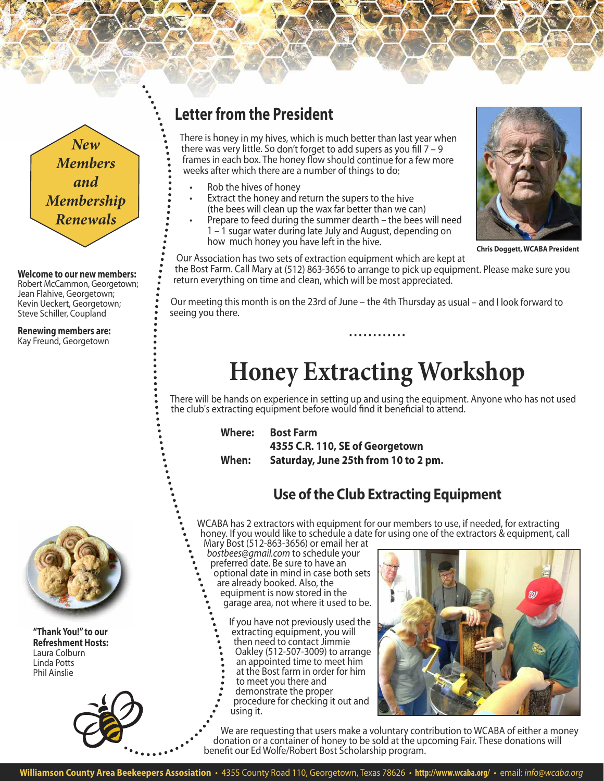

#### **Welcome to our new members:**

Robert McCammon, Georgetown; Jean Flahive, Georgetown; Kevin Ueckert, Georgetown; Steve Schiller, Coupland

**Renewing members are:** Kay Freund, Georgetown



**"Thank You!" to our Refreshment Hosts:** Laura Colburn Linda Potts Phil Ainslie



# **Letter from the President**

There is honey in my hives, which is much better than last year when there was very little. So don't forget to add supers as you fill  $7 - 9$ frames in each box. The honey flow should continue for a few more weeks after which there are <sup>a</sup> number of things to do:

- •Rob the hives of honey
- • Extract the honey and return the supers to the hive (the bees will clean up the wax far better than we can)
- • Prepare to feed during the summer dearth – the bees will need 1 – <sup>1</sup> sugar water during late July and August, depending on how much honey you have left in the hive.

**Chris Doggett, WCABA President**

Our Association has two sets of extraction equipment which are kept at the Bost Farm. Call Mary at (512) 863-3656 to arrange to pick up equipment. Please make sure you return everything on time and clean, which will be most appreciated.

Our meeting this month is on the 23rd of June – the 4th Thursday as usual – and I look forward to seeing you there.

# **Honey Extracting Workshop**

• • • • • • • • • • • •

There will be hands on experience in setting up and using the equipment. Anyone who has not used the club's extracting equipment before would find it beneficial to attend.

#### **Where: Bost Farm**

**4355 C.R. 110, SE of Georgetown When: Saturday, June 25th from 10 to 2 pm.**

# **Use ofthe Club Extracting Equipment**

WCABA has 2 extractors with equipment for our members to use, if needed, for extracting honey. If you would like to schedule a date for using one of the extractors & equipment, call

- Mary Bost (512-863-3656) or email her at
- *bostbees@gmail.com* to schedule your
- preferred date. Be sure to have an

using it.

- optional date in mind in case both sets are already booked. Also, the
	- equipment is now stored in the garage area, not where it used to be.

If you have not previously used the extracting equipment, you will then need to contact Jimmie Oakley (512-507-3009) to arrange an appointed time to meet him at the Bost farm in order for him to meet you there and demonstrate the proper procedure for checking it out and



We are requesting that users make a voluntary contribution to WCABA of either a money donation or a container of honey to be sold at the upcoming Fair. These donations will benefit our Ed Wolfe/Robert Bost Scholarship program.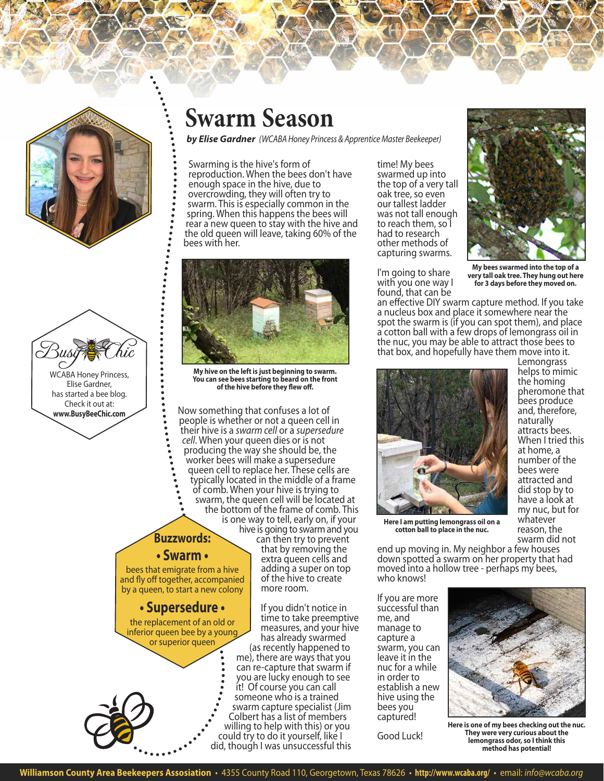



# **Swarm Season**

*by Elise Gardner (WCABA Honey Princess & Apprentice Master Beekeeper)*

Swarming is the hive's form of reproduction. When the bees don't have enough space in the hive, due to overcrowding, they will often try to swarm. This is especially common in the spring. When this happens the bees will rear a new queen to stay with the hive and the old queen will leave, taking 60% of the bees with her.



**My hive on the left is just beginning to swarm. You can see bees starting to beard on the front of the hive before they flew off.**

Now something that confuses a lot of people is whether or not a queen cell in their hive is a *swarm cell* or a *supersedure cell*. When your queen dies or is not producing the way she should be, the worker bees will make a supersedure queen cell to replace her. These cells are typically located in the middle of a frame of comb. When your hive is trying to swarm, the queen cell will be located at the bottom of the frame of comb. This is one way to tell, early on, if your hive is going to swarm and you **Buzzwords:**

**• Swarm •**

bees that emigrate from a hive and fly off together, accompanied by a queen, to start a new colony

#### **• Supersedure •**

the replacement of an old or inferior queen bee by a young or superior queen

can then try to prevent that by removing the extra queen cells and adding a super on top of the hive to create more room.

If you didn't notice in time to take preemptive measures, and your hive has already swarmed (as recently happened to me), there are ways that you can re-capture that swarm if you are lucky enough to see it! Of course you can call someone who is a trained swarm capture specialist (Jim Colbert has a list of members willing to help with this) or you could try to do it yourself, like I did, though I was unsuccessful this

time! My bees swarmed up into the top of a very tall oak tree, so even our tallest ladder was not tall enough to reach them, so had to research other methods of capturing swarms.

I'm going to share with you one way I found, that can be



**My bees swarmed into the top of a very tall oak tree. They hung out here for 3 days before they moved on.**

an effective DIY swarm capture method. If you take a nucleus box and place it somewhere near the spot the swarm is (if you can spot them), and place a cotton ball with a few drops of lemongrass oil in the nuc, you may be able to attract those bees to that box, and hopefully have them move into it.



Lemongrass helps to mimic the homing pheromone that bees produce and, therefore, naturally attracts bees. When I tried this at home, a number of the bees were attracted and did stop by to have a look at my nuc, but for whatever reason, the swarm did not

**Here I am putting lemongrass oil on a cotton ball to place in the nuc.**

end up moving in. My neighbor a few houses down spotted a swarm on her property that had moved into a hollow tree - perhaps my bees, who knows!

If you are more successful than me, and manage to capture a swarm, you can leave it in the nuc for a while in order to establish a new hive using the bees you captured!

Good Luck!



**Here is one of my bees checking out the nuc. They were very curious about the lemongrass odor, so I think this method has potential!**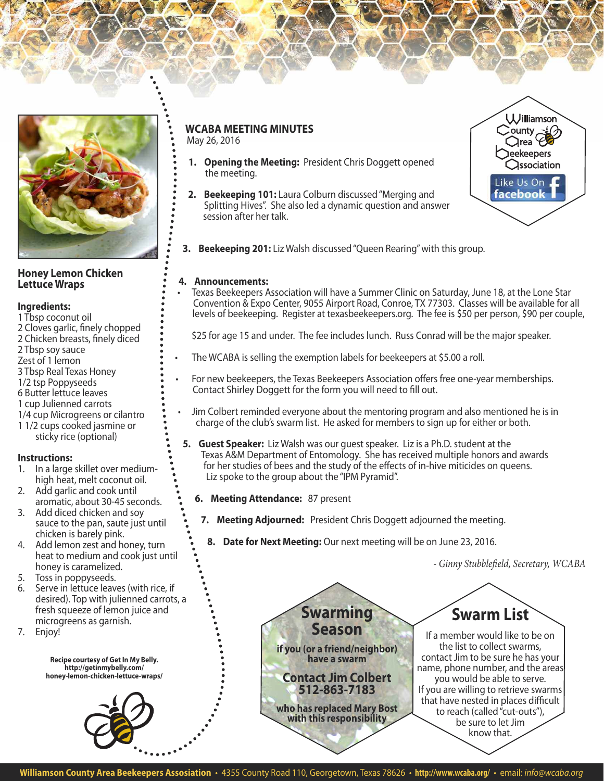

#### **Honey Lemon Chicken Lettuce Wraps**

#### **Ingredients:**

- 1 Tbsp coconut oil
- 2 Cloves garlic, finely chopped
- 2 Chicken breasts, finely diced
- 2 Tbsp soy sauce
- Zest of 1 lemon
- 3 Tbsp Real Texas Honey
- 1/2 tsp Poppyseeds
- 6 Butter lettuce leaves
- 1 cup Julienned carrots
- 1/4 cup Microgreens or cilantro
- 1 1/2 cups cooked jasmine or sticky rice (optional)

#### **Instructions:**

- 1. In a large skillet over mediumhigh heat, melt coconut oil.
- 2. Add garlic and cook until aromatic, about 30-45 seconds.
- 3. Add diced chicken and soy sauce to the pan, saute just until chicken is barely pink.
- 4. Add lemon zest and honey, turn heat to medium and cook just until honey is caramelized.
- 5. Toss in poppyseeds.
- 6. Serve in lettuce leaves (with rice, if desired). Top with julienned carrots, a fresh squeeze of lemon juice and microgreens as garnish.
- 7. Enjoy!

**Recipe courtesy of Get In My Belly. http://getinmybelly.com/ honey-lemon-chicken-lettuce-wraps/**

## **WCABA MEETING MINUTES**

May 26, 2016

- **1. Opening the Meeting:** President Chris Doggett opened the meeting.
- **2. Beekeeping 101:** Laura Colburn discussed"Merging and Splitting Hives". She also led a dynamic question and answer session after her talk.
- **3. Beekeeping 201:** Liz Walsh discussed"Queen Rearing"with this group.

#### **4. Announcements:**

- Texas Beekeepers Association will have a Summer Clinic on Saturday, June 18, at the Lone Star Convention & Expo Center, 9055 Airport Road, Conroe, TX 77303. Classes will be available for all levels of beekeeping. Register at texasbeekeepers.org. The fee is \$50 per person, \$90 per couple,
	- \$25 for age 15 and under. The fee includes lunch. Russ Conrad will be the major speaker.
- The WCABA is selling the exemption labels for beekeepers at \$5.00 a roll.
- For new beekeepers, the Texas Beekeepers Association offers free one-year memberships. Contact Shirley Doggett for the form you will need to fill out.
- Jim Colbert reminded everyone about the mentoring program and also mentioned he is in charge of the club's swarm list. He asked for members to sign up for either or both.
- **5. Guest Speaker:** Liz Walsh was our guest speaker. Liz is a Ph.D. student at the Texas A&M Department of Entomology. She has received multiple honors and awards for her studies of bees and the study of the effects of in-hive miticides on queens. Liz spoke to the group about the "IPM Pyramid".
	- **6. Meeting Attendance:** 87 present
		- **7. Meeting Adjourned:** President Chris Doggett adjourned the meeting.
			- **8. Date for Next Meeting:** Our next meeting will be on June 23, 2016.

- Ginny Stubblefield, Secretary, WCABA

the list to collect swarms, contact Jim to be sure he has your name, phone number, and the areas you would be able to serve. If you are willing to retrieve swarms that have nested in places difficult to reach (called"cut-outs"), be sure to let Jim know that.



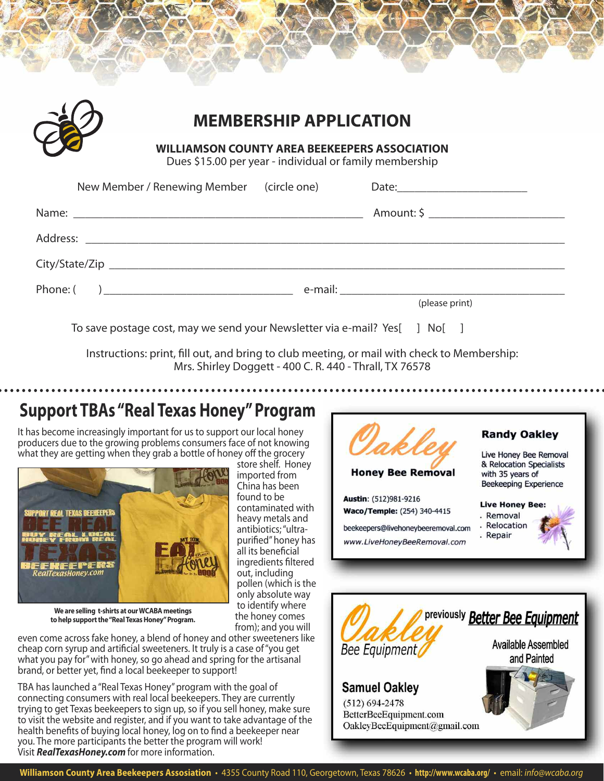

# **MEMBERSHIP APPLICATION**

**WILLIAMSON COUNTY AREA BEEKEEPERS ASSOCIATION**

Dues \$15.00 per year - individual or family membership

| New Member / Renewing Member (circle one)                                                                                                                                                                                            |                |
|--------------------------------------------------------------------------------------------------------------------------------------------------------------------------------------------------------------------------------------|----------------|
| Name: <u>Alexander Alexander and Alexander Alexander and Alexander and Alexander and Alexander and Alexander and Alexander and Alexander and Alexander and Alexander and Alexander and Alexander and Alexander and Alexander and</u> |                |
|                                                                                                                                                                                                                                      |                |
|                                                                                                                                                                                                                                      |                |
| Phone: ( )                                                                                                                                                                                                                           |                |
|                                                                                                                                                                                                                                      | (please print) |
|                                                                                                                                                                                                                                      |                |

To save postage cost, may we send your Newsletter via e-mail? Yes[ ] No[ ]

Instructions: print, fill out, and bring to club meeting, or mail with check to Membership: Mrs. Shirley Doggett - 400 C. R. 440 - Thrall, TX 76578

# **Support TBAs "Real Texas Honey"Program**

It has become increasingly important for us to support our local honey producers due to the growing problems consumers face of not knowing what they are getting when they grab a bottle of honey off the grocery



store shelf. Honey imported from China has been found to be contaminated with heavy metals and antibiotics;"ultra purified"honey has all its beneficial ingredients filtered out, including pollen (which is the only absolute way to identify where the honey comes from); and you will

**We are selling t-shirts at ourWCABA meetings to help supportthe"RealTexasHoney"Program.**

even come across fake honey, a blend of honey and other sweeteners like cheap corn syrup and artificial sweeteners. It truly is a case of"you get what you pay for"with honey, so go ahead and spring for the artisanal brand, or better yet, find a local beekeeper to support!

TBA has launched a "Real Texas Honey"program with the goal of connecting consumers with real local beekeepers. They are currently trying to get Texas beekeepers to sign up, so if you sell honey, make sure to visit the website and register, and if you want to take advantage of the health benefits of buying local honey, log on to find a beekeeper near you. The more participants the better the program will work! Visit *RealTexasHoney.com* for more information.



#### **Honey Bee Removal**

Austin: (512)981-9216 Waco/Temple: (254) 340-4415

beekeepers@livehoneybeeremoval.com www.LiveHoneyBeeRemoval.com

#### **Randy Oakley**

Live Honey Bee Removal & Relocation Specialists with 35 years of Beekeeping Experience

- **Live Honey Bee:** . Removal
- Relocation
- Repair





**Williamson County Area Beekeepers Assosiation** • 4355 County Road 110, Georgetown, Texas 78626 • **http://www.wcaba.org/** • email: *info@wcaba.org*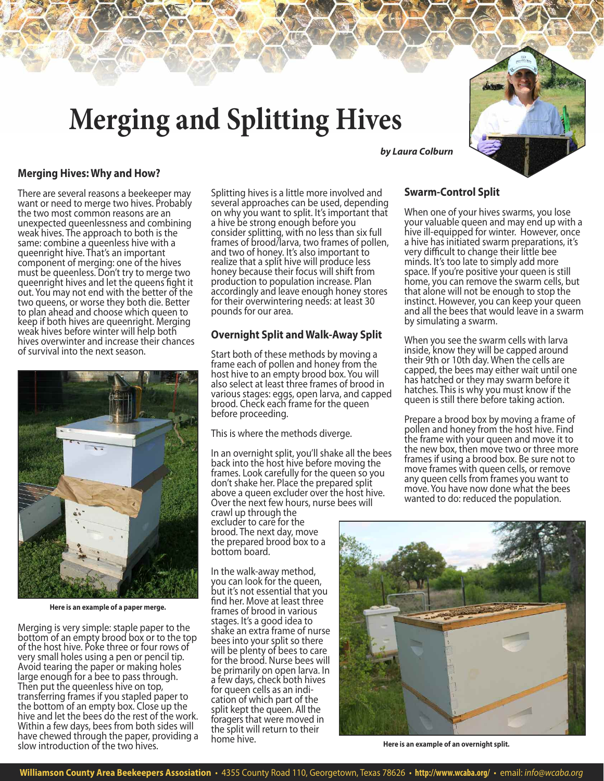# **Merging and Splitting Hives**

#### **Merging Hives: Why and How?**

There are several reasons a beekeeper may want or need to merge two hives. Probably the two most common reasons are an unexpected queenlessness and combining weak hives. The approach to both is the same: combine a queenless hive with a queenright hive. That's an important component of merging: one of the hives must be queenless. Don't try to merge two queenright hives and let the queens fight it out. You may not end with the better of the two queens, or worse they both die. Better to plan ahead and choose which queen to keep if both hives are queenright. Merging weak hives before winter will help both hives overwinter and increase their chances of survival into the next season.



**Here is an example of a paper merge.**

Merging is very simple: staple paper to the bottom of an empty brood box or to the top of the host hive. Poke three or four rows of very small holes using a pen or pencil tip. Avoid tearing the paper or making holes large enough for a bee to pass through. Then put the queenless hive on top, transferring frames if you stapled paper to the bottom of an empty box. Close up the hive and let the bees do the rest of the work. Within a few days, bees from both sides will have chewed through the paper, providing a slow introduction of the two hives.

Splitting hives is a little more involved and several approaches can be used, depending on why you want to split. It's important that a hive be strong enough before you consider splitting, with no less than six full frames of brood/larva, two frames of pollen, and two of honey. It's also important to realize that a split hive will produce less honey because their focus will shift from production to population increase. Plan accordingly and leave enough honey stores for their overwintering needs: at least 30 pounds for our area.

#### **Overnight Split and Walk-Away Split**

Start both of these methods by moving a frame each of pollen and honey from the host hive to an empty brood box. You will also select at least three frames of brood in various stages: eggs, open larva, and capped brood. Check each frame for the queen before proceeding.

This is where the methods diverge.

In an overnight split, you'll shake all the bees back into the host hive before moving the frames. Look carefully for the queen so you don't shake her. Place the prepared split above a queen excluder over the host hive. Over the next few hours, nurse bees will

crawl up through the excluder to care for the brood. The next day, move the prepared brood box to a bottom board.

In the walk-away method, you can look for the queen, but it's not essential that you find her. Move at least three frames of brood in various stages. It's a good idea to shake an extra frame of nurse bees into your split so there will be plenty of bees to care for the brood. Nurse bees will be primarily on open larva. In a few days, check both hives for queen cells as an indi cation of which part of the split kept the queen. All the foragers that were moved in the split will return to their home hive.



### *by Laura Colburn*

#### **Swarm-Control Split**

When one of your hives swarms, you lose your valuable queen and may end up with a hive ill-equipped for winter. However, once a hive has initiated swarm preparations, it's very difficult to change their little bee minds. It's too late to simply add more space. If you're positive your queen is still home, you can remove the swarm cells, but that alone will not be enough to stop the instinct. However, you can keep your queen and all the bees that would leave in a swarm by simulating a swarm.

When you see the swarm cells with larva inside, know they will be capped around their 9th or 10th day. When the cells are capped, the bees may either wait until one has hatched or they may swarm before it hatches. This is why you must know if the queen is still there before taking action.

Prepare a brood box by moving a frame of pollen and honey from the host hive. Find the frame with your queen and move it to the new box, then move two or three more frames if using a brood box. Be sure not to move frames with queen cells, or remove any queen cells from frames you want to move. You have now done what the bees wanted to do: reduced the population.



**Here is an example of an overnight split.**